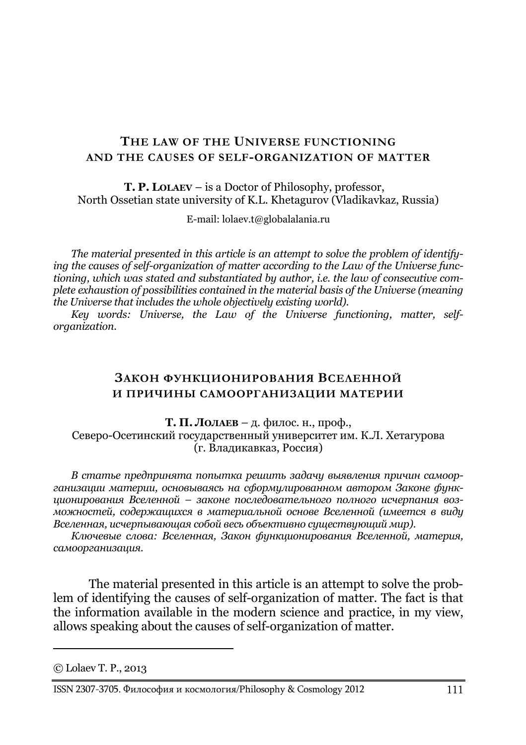## **THE LAW OF THE UNIVERSE FUNCTIONING AND THE CAUSES OF SELF-ORGANIZATION OF MATTER**

**T. P. LOLAEV** – is a Doctor of Philosophy, professor, North Ossetian state university of K.L. Khetagurov (Vladikavkaz, Russia)

E-mail: lolaev.t@globalalania.ru

*The material presented in this article is an attempt to solve the problem of identifying the causes of self-organization of matter according to the Law of the Universe functioning, which was stated and substantiated by author, i.e. the law of consecutive complete exhaustion of possibilities contained in the material basis of the Universe (meaning the Universe that includes the whole objectively existing world).* 

*Key words: Universe, the Law of the Universe functioning, matter, selforganization.* 

## **ЗАКОН ФУНКЦИОНИРОВАНИЯ ВСЕЛЕННОЙ И ПРИЧИНЫ САМООРГАНИЗАЦИИ МАТЕРИИ**

**Т. П. ЛОЛАЕВ** – д. филос. н., проф., Северо-Осетинский государственный университет им. К.Л. Хетагурова (г. Владикавказ, Россия)

*В статье предпринята попытка решить задачу выявления причин самоорганизации материи, основываясь на сформулированном автором Законе функционирования Вселенной – законе последовательного полного исчерпания возможностей, содержащихся в материальной основе Вселенной (имеется в виду Вселенная, исчерпывающая собой весь объективно существующий мир).* 

*Ключевые слова: Вселенная, Закон функционирования Вселенной, материя, самоорганизация.* 

The material presented in this article is an attempt to solve the problem of identifying the causes of self-organization of matter. The fact is that the information available in the modern science and practice, in my view, allows speaking about the causes of self-organization of matter.

© Lolaev T. P., 2013

j

ISSN 2307-3705. Философия и космология/Philosophy & Cosmology 2012 111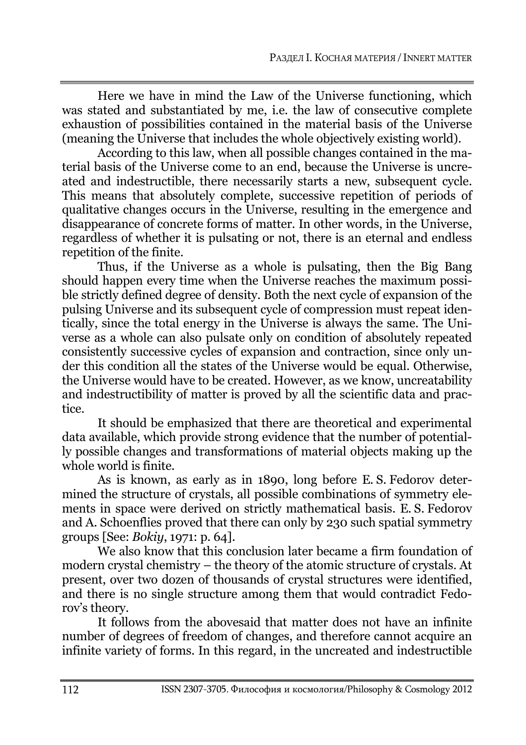Here we have in mind the Law of the Universe functioning, which was stated and substantiated by me, i.e. the law of consecutive complete exhaustion of possibilities contained in the material basis of the Universe (meaning the Universe that includes the whole objectively existing world).

According to this law, when all possible changes contained in the material basis of the Universe come to an end, because the Universe is uncreated and indestructible, there necessarily starts a new, subsequent cycle. This means that absolutely complete, successive repetition of periods of qualitative changes occurs in the Universe, resulting in the emergence and disappearance of concrete forms of matter. In other words, in the Universe, regardless of whether it is pulsating or not, there is an eternal and endless repetition of the finite.

Thus, if the Universe as a whole is pulsating, then the Big Bang should happen every time when the Universe reaches the maximum possible strictly defined degree of density. Both the next cycle of expansion of the pulsing Universe and its subsequent cycle of compression must repeat identically, since the total energy in the Universe is always the same. The Universe as a whole can also pulsate only on condition of absolutely repeated consistently successive cycles of expansion and contraction, since only under this condition all the states of the Universe would be equal. Otherwise, the Universe would have to be created. However, as we know, uncreatability and indestructibility of matter is proved by all the scientific data and practice.

It should be emphasized that there are theoretical and experimental data available, which provide strong evidence that the number of potentially possible changes and transformations of material objects making up the whole world is finite.

As is known, as early as in 1890, long before E. S. Fedorov determined the structure of crystals, all possible combinations of symmetry elements in space were derived on strictly mathematical basis. E. S. Fedorov and A. Schoenflies proved that there can only by 230 such spatial symmetry groups [See: *Bokiy*, 1971: p. 64].

We also know that this conclusion later became a firm foundation of modern crystal chemistry – the theory of the atomic structure of crystals. At present, over two dozen of thousands of crystal structures were identified, and there is no single structure among them that would contradict Fedorov's theory.

It follows from the abovesaid that matter does not have an infinite number of degrees of freedom of changes, and therefore cannot acquire an infinite variety of forms. In this regard, in the uncreated and indestructible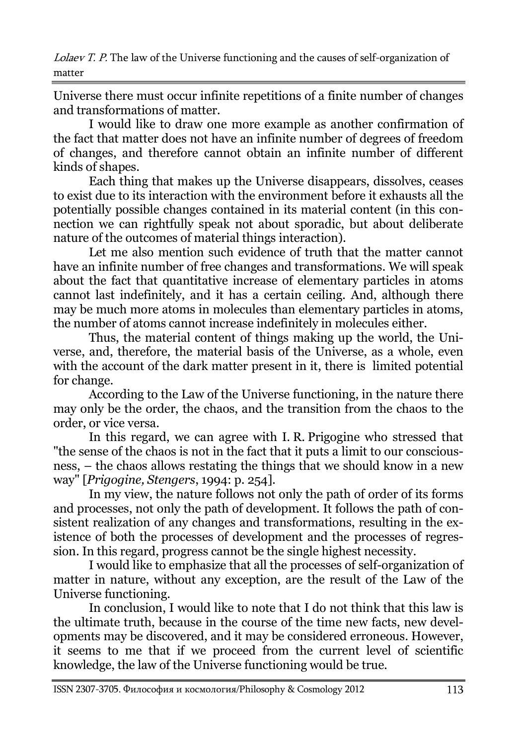Lolaev T. P. The law of the Universe functioning and the causes of self-organization of matter

Universe there must occur infinite repetitions of a finite number of changes and transformations of matter.

I would like to draw one more example as another confirmation of the fact that matter does not have an infinite number of degrees of freedom of changes, and therefore cannot obtain an infinite number of different kinds of shapes.

Each thing that makes up the Universe disappears, dissolves, ceases to exist due to its interaction with the environment before it exhausts all the potentially possible changes contained in its material content (in this connection we can rightfully speak not about sporadic, but about deliberate nature of the outcomes of material things interaction).

Let me also mention such evidence of truth that the matter cannot have an infinite number of free changes and transformations. We will speak about the fact that quantitative increase of elementary particles in atoms cannot last indefinitely, and it has a certain ceiling. And, although there may be much more atoms in molecules than elementary particles in atoms, the number of atoms cannot increase indefinitely in molecules either.

Thus, the material content of things making up the world, the Universe, and, therefore, the material basis of the Universe, as a whole, even with the account of the dark matter present in it, there is limited potential for change.

According to the Law of the Universe functioning, in the nature there may only be the order, the chaos, and the transition from the chaos to the order, or vice versa.

In this regard, we can agree with I. R. Prigogine who stressed that "the sense of the chaos is not in the fact that it puts a limit to our consciousness, – the chaos allows restating the things that we should know in a new way" [*Prigogine, Stengers*, 1994: p. 254].

In my view, the nature follows not only the path of order of its forms and processes, not only the path of development. It follows the path of consistent realization of any changes and transformations, resulting in the existence of both the processes of development and the processes of regression. In this regard, progress cannot be the single highest necessity.

I would like to emphasize that all the processes of self-organization of matter in nature, without any exception, are the result of the Law of the Universe functioning.

In conclusion, I would like to note that I do not think that this law is the ultimate truth, because in the course of the time new facts, new developments may be discovered, and it may be considered erroneous. However, it seems to me that if we proceed from the current level of scientific knowledge, the law of the Universe functioning would be true.